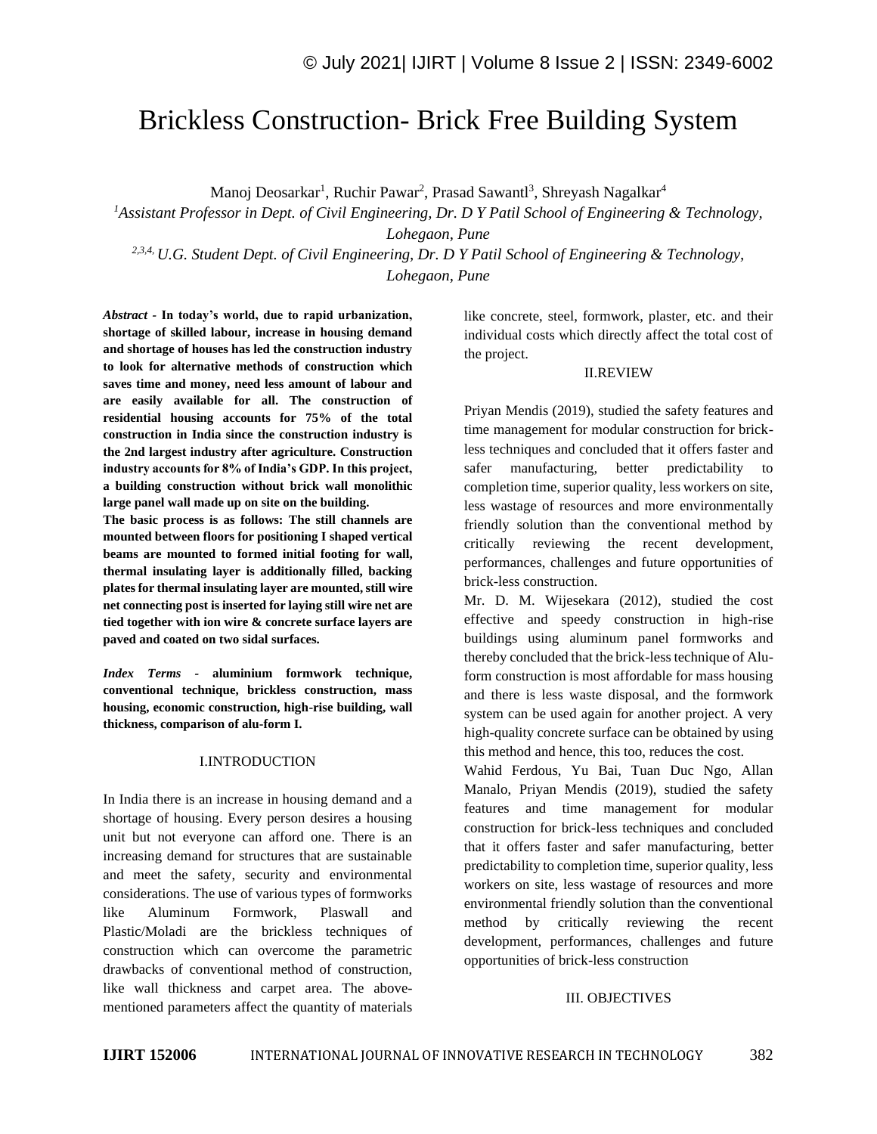# Brickless Construction- Brick Free Building System

Manoj Deosarkar<sup>1</sup>, Ruchir Pawar<sup>2</sup>, Prasad Sawantl<sup>3</sup>, Shreyash Nagalkar<sup>4</sup>

*<sup>1</sup>Assistant Professor in Dept. of Civil Engineering, Dr. D Y Patil School of Engineering & Technology, Lohegaon, Pune*

*2,3,4, U.G. Student Dept. of Civil Engineering, Dr. D Y Patil School of Engineering & Technology, Lohegaon, Pune*

*Abstract -* **In today's world, due to rapid urbanization, shortage of skilled labour, increase in housing demand and shortage of houses has led the construction industry to look for alternative methods of construction which saves time and money, need less amount of labour and are easily available for all. The construction of residential housing accounts for 75% of the total construction in India since the construction industry is the 2nd largest industry after agriculture. Construction industry accounts for 8% of India's GDP. In this project, a building construction without brick wall monolithic large panel wall made up on site on the building.**

**The basic process is as follows: The still channels are mounted between floors for positioning I shaped vertical beams are mounted to formed initial footing for wall, thermal insulating layer is additionally filled, backing plates for thermal insulating layer are mounted, still wire net connecting post is inserted for laying still wire net are tied together with ion wire & concrete surface layers are paved and coated on two sidal surfaces.**

*Index Terms -* **aluminium formwork technique, conventional technique, brickless construction, mass housing, economic construction, high-rise building, wall thickness, comparison of alu-form I.**

#### I.INTRODUCTION

In India there is an increase in housing demand and a shortage of housing. Every person desires a housing unit but not everyone can afford one. There is an increasing demand for structures that are sustainable and meet the safety, security and environmental considerations. The use of various types of formworks like Aluminum Formwork, Plaswall and Plastic/Moladi are the brickless techniques of construction which can overcome the parametric drawbacks of conventional method of construction, like wall thickness and carpet area. The abovementioned parameters affect the quantity of materials like concrete, steel, formwork, plaster, etc. and their individual costs which directly affect the total cost of the project.

#### II.REVIEW

Priyan Mendis (2019), studied the safety features and time management for modular construction for brickless techniques and concluded that it offers faster and safer manufacturing, better predictability completion time, superior quality, less workers on site, less wastage of resources and more environmentally friendly solution than the conventional method by critically reviewing the recent development, performances, challenges and future opportunities of brick-less construction.

Mr. D. M. Wijesekara (2012), studied the cost effective and speedy construction in high-rise buildings using aluminum panel formworks and thereby concluded that the brick-less technique of Aluform construction is most affordable for mass housing and there is less waste disposal, and the formwork system can be used again for another project. A very high-quality concrete surface can be obtained by using this method and hence, this too, reduces the cost.

Wahid Ferdous, Yu Bai, Tuan Duc Ngo, Allan Manalo, Priyan Mendis (2019), studied the safety features and time management for modular construction for brick-less techniques and concluded that it offers faster and safer manufacturing, better predictability to completion time, superior quality, less workers on site, less wastage of resources and more environmental friendly solution than the conventional method by critically reviewing the recent development, performances, challenges and future opportunities of brick-less construction

#### III. OBJECTIVES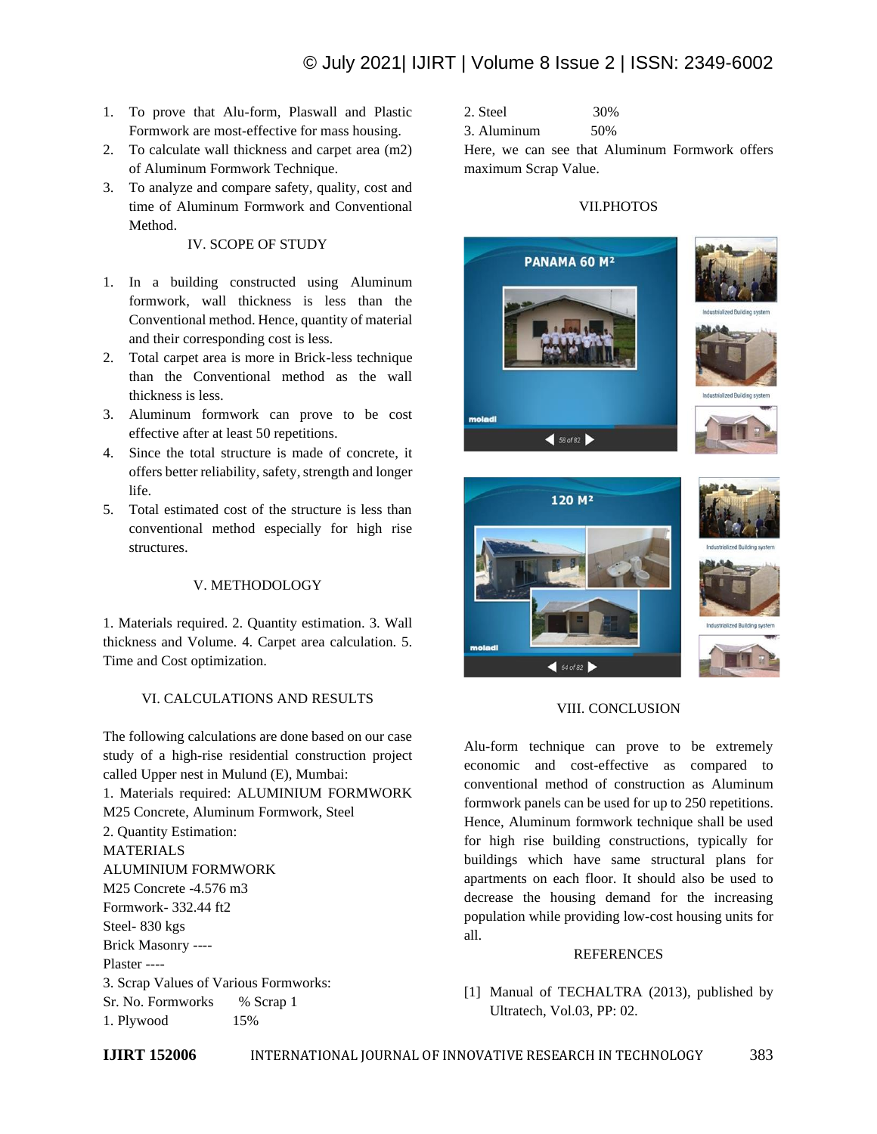- 1. To prove that Alu-form, Plaswall and Plastic Formwork are most-effective for mass housing.
- 2. To calculate wall thickness and carpet area (m2) of Aluminum Formwork Technique.
- 3. To analyze and compare safety, quality, cost and time of Aluminum Formwork and Conventional Method.

IV. SCOPE OF STUDY

- 1. In a building constructed using Aluminum formwork, wall thickness is less than the Conventional method. Hence, quantity of material and their corresponding cost is less.
- 2. Total carpet area is more in Brick-less technique than the Conventional method as the wall thickness is less.
- 3. Aluminum formwork can prove to be cost effective after at least 50 repetitions.
- 4. Since the total structure is made of concrete, it offers better reliability, safety, strength and longer life.
- 5. Total estimated cost of the structure is less than conventional method especially for high rise structures.

# V. METHODOLOGY

1. Materials required. 2. Quantity estimation. 3. Wall thickness and Volume. 4. Carpet area calculation. 5. Time and Cost optimization.

# VI. CALCULATIONS AND RESULTS

The following calculations are done based on our case study of a high-rise residential construction project called Upper nest in Mulund (E), Mumbai: 1. Materials required: ALUMINIUM FORMWORK M25 Concrete, Aluminum Formwork, Steel 2. Quantity Estimation: MATERIALS ALUMINIUM FORMWORK M25 Concrete -4.576 m3 Formwork- 332.44 ft2 Steel- 830 kgs Brick Masonry ---- Plaster ---- 3. Scrap Values of Various Formworks: Sr. No. Formworks % Scrap 1 1. Plywood 15%

2. Steel 30%

3. Aluminum 50%

Here, we can see that Aluminum Formwork offers maximum Scrap Value.

## VII.PHOTOS



### VIII. CONCLUSION

Alu-form technique can prove to be extremely economic and cost-effective as compared to conventional method of construction as Aluminum formwork panels can be used for up to 250 repetitions. Hence, Aluminum formwork technique shall be used for high rise building constructions, typically for buildings which have same structural plans for apartments on each floor. It should also be used to decrease the housing demand for the increasing population while providing low-cost housing units for all.

## **REFERENCES**

[1] Manual of TECHALTRA (2013), published by Ultratech, Vol.03, PP: 02.